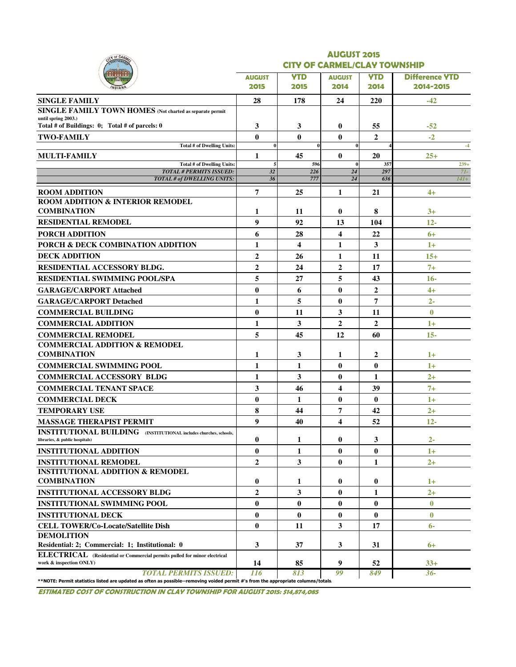| TY OF CARA                                                                                                                                  | <b>AUGUST 2015</b> |                                     |                         |                |                       |  |  |  |  |  |  |
|---------------------------------------------------------------------------------------------------------------------------------------------|--------------------|-------------------------------------|-------------------------|----------------|-----------------------|--|--|--|--|--|--|
|                                                                                                                                             |                    | <b>CITY OF CARMEL/CLAY TOWNSHIP</b> |                         |                |                       |  |  |  |  |  |  |
|                                                                                                                                             | <b>AUGUST</b>      | <b>YTD</b>                          | <b>AUGUST</b>           | YTD            | <b>Difference YTD</b> |  |  |  |  |  |  |
|                                                                                                                                             | 2015               | 2015                                | 2014                    | 2014           | 2014-2015             |  |  |  |  |  |  |
| <b>SINGLE FAMILY</b>                                                                                                                        | 28                 | 178                                 | 24                      | 220            | $-42$                 |  |  |  |  |  |  |
| SINGLE FAMILY TOWN HOMES (Not charted as separate permit                                                                                    |                    |                                     |                         |                |                       |  |  |  |  |  |  |
| until spring 2003.)<br>Total # of Buildings: 0; Total # of parcels: 0                                                                       | 3                  | 3                                   | $\bf{0}$                | 55             | $-52$                 |  |  |  |  |  |  |
| <b>TWO-FAMILY</b>                                                                                                                           | $\bf{0}$           | $\bf{0}$                            | $\bf{0}$                | $\overline{2}$ | $-2$                  |  |  |  |  |  |  |
| Total # of Dwelling Units:                                                                                                                  | $\Omega$           |                                     | $\theta$                |                | $-4$                  |  |  |  |  |  |  |
| <b>MULTI-FAMILY</b>                                                                                                                         | 1                  | 45                                  | $\bf{0}$                | 20             | $25+$                 |  |  |  |  |  |  |
| <b>Total # of Dwelling Units:</b>                                                                                                           | 5                  | 596                                 | $\bf{0}$                | 357            | $239+$                |  |  |  |  |  |  |
| <b>TOTAL # PERMITS ISSUED:</b><br>TOTAL # of DWELLING UNITS:                                                                                | 32<br>36           | 226<br>777                          | $\overline{24}$<br>24   | 297<br>636     | $7I-$<br>$14I+$       |  |  |  |  |  |  |
| <b>ROOM ADDITION</b>                                                                                                                        | 7                  | 25                                  | 1                       | 21             | $4+$                  |  |  |  |  |  |  |
| <b>ROOM ADDITION &amp; INTERIOR REMODEL</b>                                                                                                 |                    |                                     |                         |                |                       |  |  |  |  |  |  |
| <b>COMBINATION</b>                                                                                                                          | 1                  | 11                                  | $\bf{0}$                | 8              | $3+$                  |  |  |  |  |  |  |
| <b>RESIDENTIAL REMODEL</b>                                                                                                                  | 9                  | 92                                  | 13                      | 104            | $12 -$                |  |  |  |  |  |  |
| <b>PORCH ADDITION</b>                                                                                                                       | 6                  | 28                                  | 4                       | 22             | $6+$                  |  |  |  |  |  |  |
| PORCH & DECK COMBINATION ADDITION                                                                                                           | $\mathbf{1}$       | 4                                   | 1                       | 3              | $1+$                  |  |  |  |  |  |  |
| <b>DECK ADDITION</b>                                                                                                                        | $\overline{2}$     | 26                                  | 1                       | 11             | $15+$                 |  |  |  |  |  |  |
| <b>RESIDENTIAL ACCESSORY BLDG.</b>                                                                                                          | $\overline{2}$     | 24                                  | $\overline{2}$          | 17             | $7+$                  |  |  |  |  |  |  |
| <b>RESIDENTIAL SWIMMING POOL/SPA</b>                                                                                                        | 5                  | 27                                  | 5                       | 43             | $16-$                 |  |  |  |  |  |  |
| <b>GARAGE/CARPORT Attached</b>                                                                                                              | $\bf{0}$           | 6                                   | $\bf{0}$                | $\overline{2}$ | $4+$                  |  |  |  |  |  |  |
| <b>GARAGE/CARPORT Detached</b>                                                                                                              | 1                  | 5                                   | $\bf{0}$                | 7              | $2 -$                 |  |  |  |  |  |  |
| <b>COMMERCIAL BUILDING</b>                                                                                                                  | $\bf{0}$           | 11                                  | 3                       | 11             | $\bf{0}$              |  |  |  |  |  |  |
| <b>COMMERCIAL ADDITION</b>                                                                                                                  | 1                  | 3                                   | $\overline{2}$          | $\mathbf{2}$   | $1+$                  |  |  |  |  |  |  |
|                                                                                                                                             |                    |                                     |                         |                |                       |  |  |  |  |  |  |
| <b>COMMERCIAL REMODEL</b><br><b>COMMERCIAL ADDITION &amp; REMODEL</b>                                                                       | 5                  | 45                                  | 12                      | 60             | $15 -$                |  |  |  |  |  |  |
| <b>COMBINATION</b>                                                                                                                          | 1                  | 3                                   | 1                       | $\mathbf{2}$   | $1+$                  |  |  |  |  |  |  |
| <b>COMMERCIAL SWIMMING POOL</b>                                                                                                             | 1                  | 1                                   | $\bf{0}$                | $\bf{0}$       | $1+$                  |  |  |  |  |  |  |
| <b>COMMERCIAL ACCESSORY BLDG</b>                                                                                                            | 1                  | 3                                   | $\bf{0}$                | 1              | $2+$                  |  |  |  |  |  |  |
| <b>COMMERCIAL TENANT SPACE</b>                                                                                                              | 3                  | 46                                  | $\overline{\mathbf{4}}$ | 39             | $7+$                  |  |  |  |  |  |  |
| <b>COMMERCIAL DECK</b>                                                                                                                      | $\mathbf{0}$       | 1                                   | $\bf{0}$                | $\mathbf{0}$   | $1+$                  |  |  |  |  |  |  |
| TEMPORARY USE                                                                                                                               | 8                  | 44                                  | 7                       | 42             | $2+$                  |  |  |  |  |  |  |
| <b>MASSAGE THERAPIST PERMIT</b>                                                                                                             | 9                  | 40                                  | $\overline{\mathbf{4}}$ | 52             | $12 -$                |  |  |  |  |  |  |
| <b>INSTITUTIONAL BUILDING</b> (INSTITUTIONAL includes churches, schools,                                                                    |                    |                                     |                         |                |                       |  |  |  |  |  |  |
| libraries, & public hospitals)                                                                                                              | $\bf{0}$           | 1                                   | 0                       | 3              | $2 -$                 |  |  |  |  |  |  |
| <b>INSTITUTIONAL ADDITION</b>                                                                                                               | $\bf{0}$           | 1                                   | $\bf{0}$                | $\bf{0}$       | $1+$                  |  |  |  |  |  |  |
| <b>INSTITUTIONAL REMODEL</b>                                                                                                                | $\overline{2}$     | 3                                   | $\bf{0}$                | 1              | $2+$                  |  |  |  |  |  |  |
| <b>INSTITUTIONAL ADDITION &amp; REMODEL</b>                                                                                                 |                    |                                     |                         |                |                       |  |  |  |  |  |  |
| <b>COMBINATION</b>                                                                                                                          | 0                  | 1                                   | $\bf{0}$                | $\bf{0}$       | $1+$                  |  |  |  |  |  |  |
| <b>INSTITUTIONAL ACCESSORY BLDG</b>                                                                                                         | $\overline{2}$     | 3                                   | 0                       | 1              | $2+$                  |  |  |  |  |  |  |
| <b>INSTITUTIONAL SWIMMING POOL</b>                                                                                                          | $\bf{0}$           | $\bf{0}$                            | $\bf{0}$                | $\bf{0}$       | $\bf{0}$              |  |  |  |  |  |  |
| <b>INSTITUTIONAL DECK</b>                                                                                                                   | $\bf{0}$           | $\bf{0}$                            | $\bf{0}$                | $\mathbf{0}$   | $\bf{0}$              |  |  |  |  |  |  |
| <b>CELL TOWER/Co-Locate/Satellite Dish</b>                                                                                                  | $\bf{0}$           | 11                                  | 3                       | 17             | $6-$                  |  |  |  |  |  |  |
| <b>DEMOLITION</b>                                                                                                                           |                    |                                     |                         |                |                       |  |  |  |  |  |  |
| Residential: 2; Commercial: 1; Institutional: 0                                                                                             | 3                  | 37                                  | 3                       | 31             | $6+$                  |  |  |  |  |  |  |
| <b>ELECTRICAL</b> (Residential or Commercial permits pulled for minor electrical<br>work & inspection ONLY)<br><b>TOTAL PERMITS ISSUED:</b> | 14                 | 85                                  | 9                       | 52             | $33+$                 |  |  |  |  |  |  |

ESTIMATED COST OF CONSTRUCTION IN CLAY TOWNSHIP FOR AUGUST 2015: \$14,874,085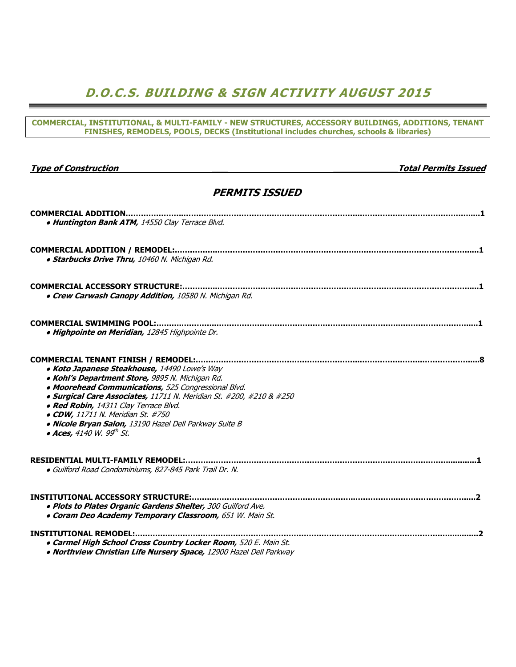## D.O.C.S. BUILDING & SIGN ACTIVITY AUGUST 2015

| COMMERCIAL, INSTITUTIONAL, & MULTI-FAMILY - NEW STRUCTURES, ACCESSORY BUILDINGS, ADDITIONS, TENANT<br>FINISHES, REMODELS, POOLS, DECKS (Institutional includes churches, schools & libraries)                                                                                                                                                                                                                 |
|---------------------------------------------------------------------------------------------------------------------------------------------------------------------------------------------------------------------------------------------------------------------------------------------------------------------------------------------------------------------------------------------------------------|
|                                                                                                                                                                                                                                                                                                                                                                                                               |
| <b>Type of Construction</b><br><b>Total Permits Issued</b>                                                                                                                                                                                                                                                                                                                                                    |
| <b>PERMITS ISSUED</b>                                                                                                                                                                                                                                                                                                                                                                                         |
| . Huntington Bank ATM, 14550 Clay Terrace Blvd.                                                                                                                                                                                                                                                                                                                                                               |
| · Starbucks Drive Thru, 10460 N. Michigan Rd.                                                                                                                                                                                                                                                                                                                                                                 |
| • Crew Carwash Canopy Addition, 10580 N. Michigan Rd.                                                                                                                                                                                                                                                                                                                                                         |
| · Highpointe on Meridian, 12845 Highpointe Dr.                                                                                                                                                                                                                                                                                                                                                                |
| • Koto Japanese Steakhouse, 14490 Lowe's Way<br>· Kohl's Department Store, 9895 N. Michigan Rd.<br>• Moorehead Communications, 525 Congressional Blvd.<br>· Surgical Care Associates, 11711 N. Meridian St. #200, #210 & #250<br>· Red Robin, 14311 Clay Terrace Blvd.<br>• CDW, 11711 N. Meridian St. #750<br>· Nicole Bryan Salon, 13190 Hazel Dell Parkway Suite B<br>• Aces, 4140 W. 99 <sup>th</sup> St. |
| · Guilford Road Condominiums, 827-845 Park Trail Dr. N.                                                                                                                                                                                                                                                                                                                                                       |
| . Plots to Plates Organic Gardens Shelter, 300 Guilford Ave.<br>. Coram Deo Academy Temporary Classroom, 651 W. Main St.                                                                                                                                                                                                                                                                                      |
| · Carmel High School Cross Country Locker Room, 520 E. Main St.<br>. Northview Christian Life Nursery Space, 12900 Hazel Dell Parkway                                                                                                                                                                                                                                                                         |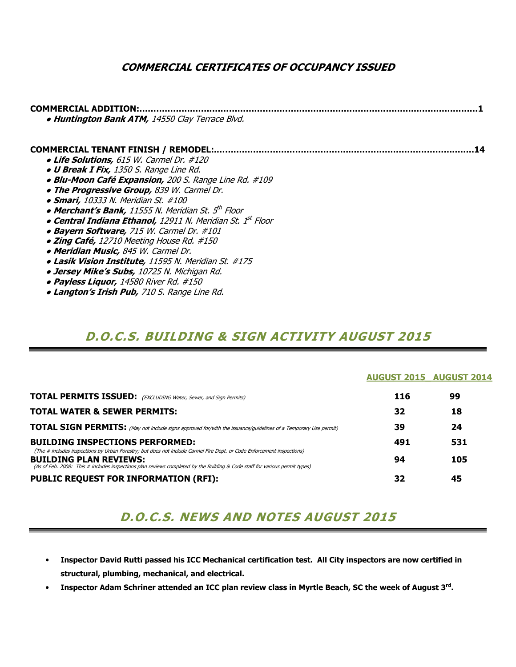### COMMERCIAL CERTIFICATES OF OCCUPANCY ISSUED

| COMMERCIAL ADDITION.<br>. Huntington Bank ATM, 14550 Clay Terrace Blvd. |
|-------------------------------------------------------------------------|
| COMMERCIAL TENANT FINISH / REMODEL:                                     |
| • Life Solutions, 615 W. Carmel Dr. #120                                |
| <b>. U Break I Fix,</b> 1350 S. Range Line Rd.                          |
| · Blu-Moon Café Expansion, 200 S. Range Line Rd. #109                   |
| . The Progressive Group, 839 W. Carmel Dr.                              |
| • Smari, 10333 N. Meridian St. #100                                     |
| • Merchant's Bank, 11555 N. Meridian St. 5 <sup>th</sup> Floor          |
| • Central Indiana Ethanol, 12911 N. Meridian St. 1st Floor              |
| • Bayern Software, 715 W. Carmel Dr. #101                               |
| • Zing Café, 12710 Meeting House Rd. #150                               |
| • Meridian Music, 845 W. Carmel Dr.                                     |
| • Lasik Vision Institute, 11595 N. Meridian St. #175                    |
| <b>. Jersey Mike's Subs,</b> 10725 N. Michigan Rd.                      |
| • Payless Liquor, 14580 River Rd. #150                                  |

**• Langton's Irish Pub, 710 S. Range Line Rd.** 

## D.O.C.S. BUILDING & SIGN ACTIVITY AUGUST 2015

#### AUGUST 2015\_ AUGUST 2014

| <b>TOTAL PERMITS ISSUED:</b> (EXCLUDING Water, Sewer, and Sign Permits)                                                                                          | 116 | 99  |
|------------------------------------------------------------------------------------------------------------------------------------------------------------------|-----|-----|
| <b>TOTAL WATER &amp; SEWER PERMITS:</b>                                                                                                                          | 32  | 18  |
| <b>TOTAL SIGN PERMITS:</b> (May not include signs approved for/with the issuance/guidelines of a Temporary Use permit)                                           | 39  | 24  |
| <b>BUILDING INSPECTIONS PERFORMED:</b><br>(The # includes inspections by Urban Forestry; but does not include Carmel Fire Dept. or Code Enforcement inspections) | 491 | 531 |
| <b>BUILDING PLAN REVIEWS:</b><br>(As of Feb. 2008: This # includes inspections plan reviews completed by the Building & Code staff for various permit types)     | 94  | 105 |
| <b>PUBLIC REQUEST FOR INFORMATION (RFI):</b>                                                                                                                     | 32  | 45  |

## D.O.C.S. NEWS AND NOTES AUGUST 2015

- Inspector David Rutti passed his ICC Mechanical certification test. All City inspectors are now certified in structural, plumbing, mechanical, and electrical.
- Inspector Adam Schriner attended an ICC plan review class in Myrtle Beach, SC the week of August 3<sup>rd</sup>.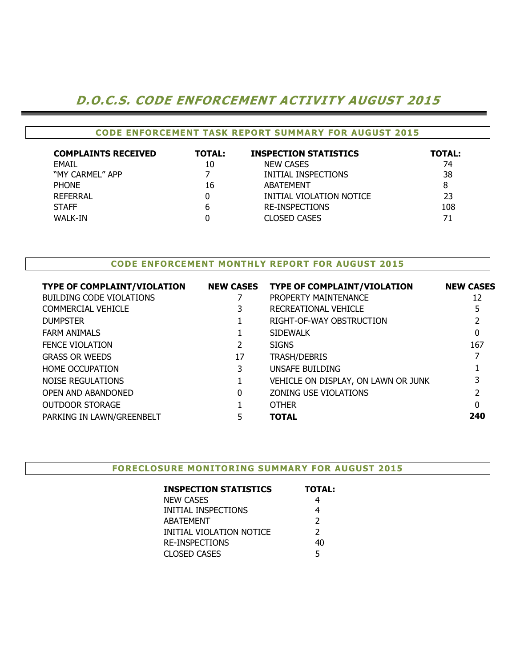## D.O.C.S. CODE ENFORCEMENT ACTIVITY AUGUST 2015

### CODE ENFORCEMENT TASK REPORT SUMMARY FOR AUGUST 2015

| <b>COMPLAINTS RECEIVED</b> | <b>TOTAL:</b> | <b>INSPECTION STATISTICS</b> | <b>TOTAL:</b> |
|----------------------------|---------------|------------------------------|---------------|
| <b>EMAIL</b>               | 10            | <b>NEW CASES</b>             | 74            |
| "MY CARMEL" APP            |               | INITIAL INSPECTIONS          | 38            |
| <b>PHONE</b>               | 16            | ABATEMENT                    |               |
| REFERRAL                   |               | INITIAL VIOLATION NOTICE     | 23            |
| <b>STAFF</b>               | 6             | <b>RE-INSPECTIONS</b>        | 108           |
| WALK-IN                    |               | <b>CLOSED CASES</b>          | 71            |

#### CODE ENFORCEMENT MONTHLY REPORT FOR AUGUST 2015

| <b>TYPE OF COMPLAINT/VIOLATION</b> | <b>NEW CASES</b> | <b>TYPE OF COMPLAINT/VIOLATION</b>  | <b>NEW CASES</b> |
|------------------------------------|------------------|-------------------------------------|------------------|
| <b>BUILDING CODE VIOLATIONS</b>    |                  | PROPERTY MAINTENANCE                | 12               |
| COMMERCIAL VEHICLE                 |                  | RECREATIONAL VEHICLE                | 5                |
| <b>DUMPSTER</b>                    |                  | RIGHT-OF-WAY OBSTRUCTION            |                  |
| <b>FARM ANIMALS</b>                |                  | <b>SIDEWALK</b>                     | $\mathbf{0}$     |
| <b>FENCE VIOLATION</b>             |                  | <b>SIGNS</b>                        | 167              |
| <b>GRASS OR WEEDS</b>              | 17               | <b>TRASH/DEBRIS</b>                 |                  |
| <b>HOME OCCUPATION</b>             | 3                | UNSAFE BUILDING                     |                  |
| NOISE REGULATIONS                  |                  | VEHICLE ON DISPLAY, ON LAWN OR JUNK |                  |
| OPEN AND ABANDONED                 | 0                | ZONING USE VIOLATIONS               |                  |
| <b>OUTDOOR STORAGE</b>             |                  | <b>OTHER</b>                        | 0                |
| PARKING IN LAWN/GREENBELT          |                  | <b>TOTAL</b>                        | 240              |
|                                    |                  |                                     |                  |

#### FORECLOSURE MONITORING SUMMARY FOR AUGUST 2015

| <b>INSPECTION STATISTICS</b> | <b>TOTAL:</b> |
|------------------------------|---------------|
| <b>NEW CASES</b>             | 4             |
| INITIAL INSPECTIONS          | 4             |
| ABATEMENT                    | $\mathcal{P}$ |
| INITIAL VIOLATION NOTICE     | $\mathcal{P}$ |
| <b>RE-INSPECTIONS</b>        | 40            |
| <b>CLOSED CASES</b>          | 5             |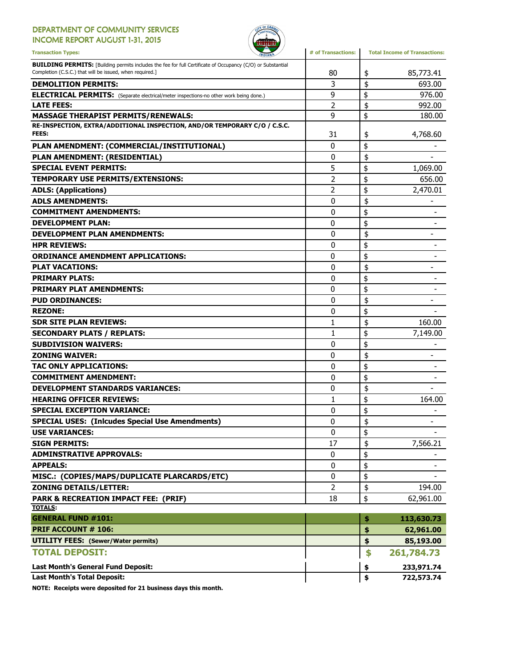### DEPARTMENT OF COMMUNITY SERVICES

INCOME REPORT AUGUST 1-31, 2015



| <b>Transaction Types:</b>                                                                                                                                                      | # of Transactions: | <b>Total Income of Transactions:</b> |  |
|--------------------------------------------------------------------------------------------------------------------------------------------------------------------------------|--------------------|--------------------------------------|--|
| <b>BUILDING PERMITS:</b> [Building permits includes the fee for full Certificate of Occupancy (C/O) or Substantial<br>Completion (C.S.C.) that will be issued, when required.] | 80                 | 85,773.41<br>\$                      |  |
| <b>DEMOLITION PERMITS:</b>                                                                                                                                                     | 3                  | \$<br>693.00                         |  |
| <b>ELECTRICAL PERMITS:</b> (Separate electrical/meter inspections-no other work being done.)                                                                                   | 9                  | \$<br>976.00                         |  |
| <b>LATE FEES:</b>                                                                                                                                                              | $\overline{2}$     | \$<br>992.00                         |  |
| <b>MASSAGE THERAPIST PERMITS/RENEWALS:</b>                                                                                                                                     | 9                  | \$<br>180.00                         |  |
| RE-INSPECTION, EXTRA/ADDITIONAL INSPECTION, AND/OR TEMPORARY C/O / C.S.C.                                                                                                      |                    |                                      |  |
| FEES:                                                                                                                                                                          | 31                 | 4,768.60<br>\$                       |  |
| PLAN AMENDMENT: (COMMERCIAL/INSTITUTIONAL)                                                                                                                                     | 0                  | \$                                   |  |
| PLAN AMENDMENT: (RESIDENTIAL)                                                                                                                                                  | 0                  | \$                                   |  |
| <b>SPECIAL EVENT PERMITS:</b>                                                                                                                                                  | 5                  | \$<br>1,069.00                       |  |
| TEMPORARY USE PERMITS/EXTENSIONS:                                                                                                                                              | 2                  | \$<br>656.00                         |  |
| <b>ADLS: (Applications)</b>                                                                                                                                                    | $\overline{2}$     | \$<br>2,470.01                       |  |
| <b>ADLS AMENDMENTS:</b>                                                                                                                                                        | 0                  | \$                                   |  |
| <b>COMMITMENT AMENDMENTS:</b>                                                                                                                                                  | 0                  | \$                                   |  |
| <b>DEVELOPMENT PLAN:</b>                                                                                                                                                       | 0                  | \$                                   |  |
| <b>DEVELOPMENT PLAN AMENDMENTS:</b>                                                                                                                                            | $\mathbf{0}$       | \$                                   |  |
| <b>HPR REVIEWS:</b>                                                                                                                                                            | $\mathbf{0}$       | \$                                   |  |
| <b>ORDINANCE AMENDMENT APPLICATIONS:</b>                                                                                                                                       | 0                  | \$                                   |  |
| <b>PLAT VACATIONS:</b>                                                                                                                                                         | 0                  | \$<br>$\overline{\phantom{0}}$       |  |
| <b>PRIMARY PLATS:</b>                                                                                                                                                          | $\mathbf{0}$       | \$                                   |  |
| <b>PRIMARY PLAT AMENDMENTS:</b>                                                                                                                                                | 0                  | \$                                   |  |
| <b>PUD ORDINANCES:</b>                                                                                                                                                         | 0                  | \$                                   |  |
| <b>REZONE:</b>                                                                                                                                                                 | 0                  | \$                                   |  |
| <b>SDR SITE PLAN REVIEWS:</b>                                                                                                                                                  | 1                  | \$<br>160.00                         |  |
| <b>SECONDARY PLATS / REPLATS:</b>                                                                                                                                              | 1                  | \$<br>7,149.00                       |  |
| <b>SUBDIVISION WAIVERS:</b>                                                                                                                                                    | 0                  | \$                                   |  |
| <b>ZONING WAIVER:</b>                                                                                                                                                          | 0                  | \$                                   |  |
| TAC ONLY APPLICATIONS:                                                                                                                                                         | 0                  | \$                                   |  |
| <b>COMMITMENT AMENDMENT:</b>                                                                                                                                                   | 0                  | \$                                   |  |
| <b>DEVELOPMENT STANDARDS VARIANCES:</b>                                                                                                                                        | 0                  | \$                                   |  |
| <b>HEARING OFFICER REVIEWS:</b>                                                                                                                                                | 1                  | \$<br>164.00                         |  |
| <b>SPECIAL EXCEPTION VARIANCE:</b>                                                                                                                                             | 0                  | \$                                   |  |
| <b>SPECIAL USES: (Inlcudes Special Use Amendments)</b>                                                                                                                         | 0                  | \$                                   |  |
| <b>USE VARIANCES:</b>                                                                                                                                                          | 0                  | \$                                   |  |
| <b>SIGN PERMITS:</b>                                                                                                                                                           | 17                 | 7,566.21<br>\$                       |  |
| <b>ADMINSTRATIVE APPROVALS:</b>                                                                                                                                                | 0                  | \$                                   |  |
| <b>APPEALS:</b>                                                                                                                                                                | 0                  | \$<br>$\overline{\phantom{a}}$       |  |
| MISC.: (COPIES/MAPS/DUPLICATE PLARCARDS/ETC)                                                                                                                                   | 0                  | \$                                   |  |
| <b>ZONING DETAILS/LETTER:</b>                                                                                                                                                  | $\overline{2}$     | \$<br>194.00                         |  |
| <b>PARK &amp; RECREATION IMPACT FEE: (PRIF)</b>                                                                                                                                | 18                 | \$<br>62,961.00                      |  |
| <b>TOTALS:</b>                                                                                                                                                                 |                    |                                      |  |
| <b>GENERAL FUND #101:</b>                                                                                                                                                      |                    | \$<br>113,630.73                     |  |
| <b>PRIF ACCOUNT # 106:</b>                                                                                                                                                     |                    | \$<br>62,961.00                      |  |
| <b>UTILITY FEES: (Sewer/Water permits)</b>                                                                                                                                     |                    | \$<br>85,193.00                      |  |
| <b>TOTAL DEPOSIT:</b>                                                                                                                                                          |                    | \$<br>261,784.73                     |  |
| Last Month's General Fund Deposit:                                                                                                                                             |                    | 233,971.74<br>\$                     |  |
| <b>Last Month's Total Deposit:</b>                                                                                                                                             |                    | \$<br>722,573.74                     |  |

NOTE: Receipts were deposited for 21 business days this month.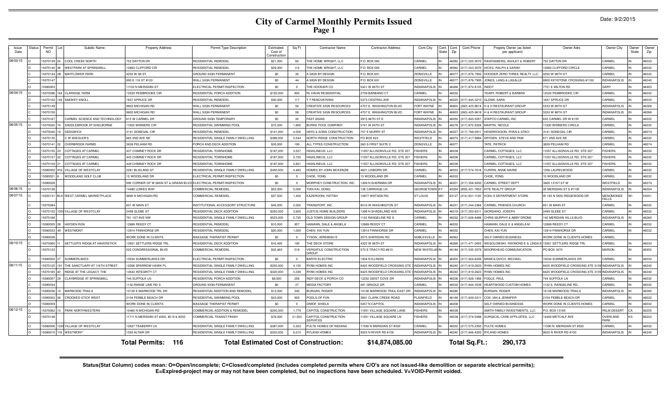|  | Date: 9/2/2015 |
|--|----------------|
|--|----------------|

| Issue<br>Date | Status | Permi<br>NO. | Subdiv Name                     | <b>Property Address</b>                                          | Permit Type Description            | Estimated<br>Cost of<br>Constructio | Sq Ft          | <b>Contractor Name</b>                       | <b>Contractor Address</b>     | Cont. City            | Cont.<br>State | Cont.<br>Cont.Phone<br>Zip             | Propety Owner (as listed<br>per applicant)           | Owner Adrs                       | Owner City                       | Owner:<br>State | Owne<br>Zip |
|---------------|--------|--------------|---------------------------------|------------------------------------------------------------------|------------------------------------|-------------------------------------|----------------|----------------------------------------------|-------------------------------|-----------------------|----------------|----------------------------------------|------------------------------------------------------|----------------------------------|----------------------------------|-----------------|-------------|
| 08/03/15      |        | 15070139     | <b>COOL CREEK NORTH</b>         | <b>752 DAYTON DR</b>                                             | RESIDENTIAL REMODEI                | \$21,000                            | 60             | HE HOME WRIGHT, LLC                          | P.O. BOX 585                  | CARMEL                |                |                                        | 46082 (317) 223-3070 RAVENSBERG, ASHLEY & ROBERT     | 752 DAYTON DR                    | CARMEL                           |                 | 46033       |
|               |        | 15070140     | <b>WESTPARK AT SPRINGMILL</b>   | 2883 CLIFFORD CIR                                                | RESIDENTIAL REMODEI                | \$29,000                            | 115            | THE HOME WRIGHT, LLC                         | P.O. BOX 585                  | CARMEL                |                | 46082 (317) 223-3070                   | HICKS, RALPH & SARAH                                 | 2883 CLIFFORD CIRCLE             | CARMEL                           |                 | 46032       |
|               |        | 15070144     | MAYFLOWER PARK                  | 4250 W 99 ST                                                     | <b>GROUND SIGN PERMANENT</b>       | \$0                                 | 30             | SIGN BY DESIGN                               | P.O. BOX 691                  | ZIONSVILLE            |                | (317) 876-7900<br>46077                | HOOSIER ZERO THREE REALTY. LLC                       | 4250 W 96TH ST                   | CARMEL                           |                 | 46032       |
|               |        | 1507014      |                                 | 890 E 116 ST #120                                                | WALL SIGN PERMANENT                | \$0                                 | 44             | <b>SIGN BY DESIGN</b>                        | P.O. BOX 691                  | ZIONSVILLE            |                | 46077<br>(317) 876-7900                | JONES, LANG & LASALLE                                | 8900 KEYSTONE CROSSING #1150     | <b>INDIANAPOLIS</b>              |                 | 46240       |
|               |        | 1508000      |                                 | 1102 N MERIDIAN ST                                               | ELECTRICAL PERMIT/INSPECTION       | \$0                                 | $\Omega$       | HE HOOSIER CO                                | 5421 W 86TH ST                | <b>INDIANAPOLIS</b>   |                | 46268<br>(317) 872-8125                | <b>INDOT</b>                                         | 701 E MILTON RD                  | GARY                             |                 | 46403       |
| 08/04/15      |        | 1507009      | <b>CLARIDGE FARM</b>            | 2520 PEMBROOKE CIR                                               | RESIDENTIAL PORCH ADDITION         | \$102,000                           | 800            | IL HAHN RESIDENTIAI                          | 2739 BARBANO CT               | CARMEL                |                | 46032                                  | YEARY, ROBERT & BARBRA                               | 2520 PEMBROOKE CIR               | CARMEL                           |                 | 46032       |
|               |        | 1507010      | SMOKEY KNOLL                    | 837 SPRUCE DR                                                    | RESIDENTIAL REMODE                 | \$30,000                            | 117            | <b>T RENOVATIONS</b>                         | 5373 CENTRAL AVE              | <b>INDIANAPOLIS</b>   |                | (317) 445-3210<br>46220                | <b>GLENN, SARA</b>                                   | 837 SPRUCE DR                    | CARMEL                           |                 | 46033       |
|               |        | 15070149     |                                 | <b>802 MICHIGAN RD</b>                                           | WALL SIGN PERMANENT                | \$0                                 | 58             | CREATIVE SIGN RESOURCES                      | 4707 E. WASHINGTON BLVD.      | FORT WAYNE            |                | 46803<br>(260) 425-9618                | H & H RESTAURANT GROUP                               | 5333 W 86TH ST                   | <b>INDIANAPOLIS</b>              |                 | 46268       |
|               |        | 1507015      |                                 | 802 MICHIGAN RD                                                  | WALL SIGN PERMANENT                | \$0                                 | 58             | CREATIVE SIGN RESOURCES                      | 4707 E. WASHINGTON BLVD.      | FORT WAYNE            |                | 46803                                  | (260) 425-9618 H & H RESTAURANT GROUP                | 5333 W 86TH ST                   | <b>INDIANAPOLIS</b>              |                 | 46268       |
|               |        | 1507016      | CARMEL SCIENCE AND TECHNOLOGY   | <b>315 W CARMEL DR</b>                                           | <b>GROUND SIGN TEMPORARY</b>       | \$0                                 | 32             | <b>AST SIGNS</b>                             | 3915 96TH ST E                | <b>INDIANAPOLIS</b>   |                | 46250 (317) 845-5051 ATAPCO CARMEL INC |                                                      | 630 CARMEL DR W #135             | CARMEL                           |                 | 46032       |
| 08/05/15      |        | 1507002      | SADDLEBROOK AT SHELBORNE        | 1930 WINNERS CIF                                                 | RESIDENTIAL SWIMMING POOL          | \$72,500                            | 1,800          | <b>BURKE POOL COMPANY</b>                    | 5741 W 84TH ST                | <b>INDIANAPOLIS</b>   |                | 46278 (317) 872-5308 MARTIN, NICOLE    |                                                      | 1930 WINNERS CIRCLE              | CARMEL                           |                 | 46032       |
|               |        | 1507004      | <b>SEDGWICK</b>                 | 3141 DONEGAL CIR                                                 | RESIDENTIAL REMODEL                | \$141,000                           | 4.500          | HAYS & SONS CONSTRUCTION                     | 757 E MURRY ST                | <b>INDIANAPOLIS</b>   |                | 46227<br>(317) 788-0911                | HENDRICKSON, RYAN & STACI                            | 3141 DONEGAL CIR                 | CARMEL                           |                 | 46074       |
|               |        | 1507013      | C W WIEDLER'S                   | 65 2ND AVE NE                                                    | RESIDENTIAL SINGLE FAMILY DWELLING | \$388,000                           | 5.544          | <b>NORTH RIDGE CONSTRUCTION</b>              | PO BOX 823                    | WESTFIELD             |                | 46074<br>(317) 417-9884                | DRYDEN, STEVE AND PAM                                | 671 2ND AVE NE                   | CARMEL                           |                 | 46032       |
|               |        | 1507014      | <b>OVERBROOK FARMS</b>          | 8839 PELHAM RD                                                   | ORCH AND DECK ADDITION             | \$30,000                            | 190            | LL TYPES CONSTRUCTION                        | 260 S FIRST SUITE 2           | <b>ZIONSVILLE</b>     |                | 16077                                  | TATE, PATRICK                                        | 839 PELHAM RD                    | CARMEL                           |                 | 46074       |
|               |        | 15070155     | <b>COTTAGES AT CARMEL</b>       | <b>437 CHIMNEY ROCK DR</b>                                       | RESIDENTIAI TOWNHOME               | \$187,000                           | 3.527          | HIGHLINEUS, LLC                              | 1057 ALLISONVILLE RD, STE 207 | <b>FISHERS</b>        |                | 46038                                  | CARMEL COTTAGES, LLC                                 | 1057 ALLISONVILLE RD, STE 207    | FISHERS                          |                 | 46032       |
|               |        | 15070157     | COTTAGES AT CARMEL              | 443 CHIMNEY ROCK DR                                              | RESIDENTIAL TOWNHOME               | \$187,000                           | 2,725          | HIGHLINEUS, LLC                              | 1057 ALLISONVILLE RD, STE 207 | <b>FISHERS</b>        |                | 46038                                  | CARMEL COTTAGES, LLC                                 | 1057 ALLISONVILLE RD, STE 207    | <b>FISHERS</b>                   |                 | 46032       |
|               |        | 15070159     | COTTAGES AT CARMEL              | 449 CHIMNEY ROCK DR                                              | RESIDENTIAL TOWNHOME               | \$187,000                           | 2,821          | <b>HIGHLINEUS, LLC</b>                       | 1057 ALLISONVILLE RD, STE 207 | <b>FISHERS</b>        |                | 46038                                  | CARMEL COTTAGES, LLC                                 | 1057 ALLISONVILLE RD, STE 207    | <b>FISHERS</b>                   |                 | 46032       |
|               |        | 1508000      | <b>VILLAGE OF WESTCLAY</b>      | 2261 BLISLAND ST                                                 | RESIDENTIAL SINGLE FAMILY DWELLING | \$450,000                           | 4.483          | HOMES BY JOHN MCKENZIE                       | 4631 LISBORN DR               | CARMEL                |                | 46033                                  | (317) 574-7616 CURRIN, ANNE MARIE                    | 256 LAURELWOOD                   | CARMEL                           |                 | 46032       |
|               |        | 1508002      | WOODLAND GOLF CLUB              | 5 WOODLAND DR                                                    | ELECTRICAL PERMIT/INSPECTION       | \$0                                 | $\Omega$       | CHOE, YONG                                   | 15 WOODLAND DR                | CARMEL                |                | 46032                                  | CHOE, YONG                                           | 15 WOODLAND DR                   | CARMEL                           |                 | 46032       |
|               |        | 1508002      |                                 | NW CORNER OF W MAIN ST & GRAND BLVD ELECTRICAL PERMIT/INSPECTION |                                    | \$0                                 | $\overline{0}$ | MORPHEY CONSTRUCTION, INC                    | 1499 N SHERMAN DR             | INDIANAPOLIS          |                | 46201<br>(317) 356-9250                | CARMEL STREET DEPT                                   | 3400 131ST ST W                  | WESTFIELD                        |                 | 46074       |
| 08/06/15      |        | 1507013      |                                 | 4490 LOWES WAY                                                   | COMMERCIAL REMODEL                 | \$53,000                            | 5.000          | <b>JAN KAI, DONG</b>                         | 36 CARRIAGE LN                | <b>GEORGETOWN KY</b>  |                | 40324<br>859) 421-7852                 | <b>KITE REALTY GROUP</b>                             | 30 MERIDIAN STS #1100            | <b>INDIANAPOLIS</b>              |                 | 46204       |
| 08/07/15      |        | 15050131     | BLK WEST CARMEL MARKETPLACE     | 9895 N MICHIGAN RD                                               | COMMERCIAL REMODEL                 | \$37,500                            | 1.400          | KAZEROONI, FATTAH                            | 0877 WATSON RD                | <b>ST LOUIS</b>       | <b>MO</b>      | 63127<br>(314) 821-1100                | KOHL'S DEPARTMENT STORE                              | V 165 N 5830 RIDGEWOOD DR        | <b>MENOMONEE</b><br><b>FALLS</b> |                 | 53051       |
|               |        | 1507008      |                                 | 651 W MAIN ST                                                    | INSTITUTIONAL ACCESSORY STRUCTURE  | \$40,000                            | 2.000          | RANSPORT, INC.                               | 8516 W WASHINGTON ST          | <b>INDIANAPOLIS</b>   |                | 46231<br>(317) 244-2366                | CARMEL FRIENDS CHURCH                                | 651 W MAIN ST                    | CARMEL                           |                 | 46032       |
|               |        | 1507015      | 059 VILLAGE OF WESTCLAY         | 2499 GLEBE ST                                                    | RESIDENTIAL DECK ADDITION          | \$250,000                           | 3,920          | <b>IUSTUS HOME BUILDERS</b>                  | 1398 N SHADELAND AVE          | <b>INDIANAPOLIS</b>   |                | 46219 (317) 353-831                    | GIORDANO, JOSEPH                                     | 2499 GLEBE ST                    | CARMEL                           |                 | 46032       |
|               |        | 1507016      |                                 | 781 1ST AVE NW                                                   | RESIDENTIAL SINGLE FAMILY DWELLING | \$523,000                           | 5,735          | <b>ILD TOWN DESIGN GROUP</b>                 | 132 RANGELINE RD              | CARMEL                |                | 46032<br>317) 626-8486                 | CHRIS MURPHY & ABBY DRONE                            | 40 MERIDIAN HILLS BLVD           | <b>INDIANAPOLIS</b>              |                 | 46260       |
|               |        | 15080005     | <b>HAYDEN RUN</b>               | 2889 REEDY CT                                                    | RESIDENTIAL REMODEI                | \$10,000                            | 957            | <b>HAMANN, DALE &amp; ANGELA</b>             | 2889 REEDY CT                 | CARMEL                |                | 46032                                  | HAMANN, DALE E & ANGELA M                            | 2889 REEDY CT                    | CARMEL                           |                 | 46032       |
|               |        | 15080033     | WESTMONT                        | 3914 FINNHORSE DR                                                | RESIDENTIAL REMODEL                | \$20,000                            | 1,000          | CHEN, KAI YUN                                | 3914 FINNHORSE DR             | CARMEL                |                | 46032                                  | CHEN, KAI YUN                                        | 3914 FINNHORSE DR                | CARMEL                           |                 | 46032       |
|               |        | 1508003      |                                 | WORK DONE IN CLIENTS                                             | MASSAGE THERAPIST PERMIT           | \$0                                 | $^{\circ}$     | YSON, JEREMIAH E                             | 2575 SHERIDAN RD              | NOBLESVILLE           |                | 46062                                  | SELF OWNED BUSINESS                                  | WORK DONE IN CLIENTS HOMES       | CARMEL                           |                 |             |
| 08/10/15      |        | 15070060     | SETTLER'S RIDGE AT HAVERSTICK   | 3921 SETTLERS RIDGE TR                                           | RESIDENTIAL DECK ADDITION          | \$16,495                            | 195            | HE DECK STORE                                | 4322 W 96TH ST                | <b>INDIANAPOLIS</b>   |                |                                        | 46268 (317) 471-0400 WESOLOWSKI, RAYMOND E & LINDA E | 13921 SETTLERS RIDGE TRI         | CARMEL                           |                 | 46033       |
|               |        | 15070133     |                                 | 525 CONGRESSIONAL BLVD                                           | COMMERCIAL REMODEL                 | \$32,463                            | 518            | <b>ERSATILE CONSTRUCTION</b><br><b>ROUP</b>  | 570 E TRACY RD #610           | <b>NEW WHITELANIN</b> |                |                                        | 46184 (317) 535-3579 MOOREHEAD COMMUNICATION         | PO BOX 1870                      | <b>MARION</b>                    |                 | 46952       |
|               |        | 15080050     | <b>SUMMERLAKES</b>              | 0034 SUMMERLAKES DR                                              | ELECTRICAL PERMIT/INSPECTION       | \$0                                 | $^{\circ}$     | <b>BARTH ELECTRIC</b>                        | 1934 N ILLINOIS               | <b>INDIANAPOLIS</b>   |                |                                        | 46202 (317) 924-6226 MAMCILOVICH, MICHAEL            | 0034 SUMMERLAKES DR              | CARMEL                           |                 | 46033       |
| 08/11/15      |        | 15070125     | THE SANCTUARY AT 116TH STREET   | 2006 SPARROW HAWK PL                                             | RESIDENTIAL SINGLE FAMILY DWELLING | \$250,000                           | 4.135          | RYAN HOMES INC                               | 8425 WOODFIELD CROSSING STE   | <b>INDIANAPOLIS</b>   |                | 46240 (317) 819-2623 RYAN HOMES INC    |                                                      | 8425 WOODFIELD CROSSING STE 310' | <b>INDIANAPOLIS</b>              |                 | 46240       |
|               |        | 15070165     | RIDGE AT THE LEGACY, THE        | 4543 INTEGRITY CT                                                | RESIDENTIAL SINGLE FAMILY DWELLING | \$320,000                           | 5,338          | RYAN HOMES INC                               | 8425 WOODFIELD CROSSING STE   | <b>INDIANAPOLIS</b>   |                | 46240 (317) 819-2623                   | <b>RYAN HOMES INC</b>                                | 8425 WOODFIELD CROSSING STE 310\ | <b>INDIANAPOLIS</b>              |                 | 46240       |
|               |        | 15080007     | <b>CLAYBRIDGE AT SPRINGMILL</b> | 44 SUFFOLK LN                                                    | RESIDENTIAL PORCH ADDITION         | \$9,500                             | 256            | <b>INDY DECK &amp; PORCH CO</b>              | 2252 GEIST COVE DR            | <b>INDIANAPOLIS</b>   |                | 46236 (317) 826-1956                   | FOGLE, PAUL                                          | 44 SUFFOLK LN                    | CARMEL                           |                 | 46032       |
|               |        | 1508003      |                                 | 132 RANGE LINE RD S                                              | <b>GROUND SIGN PERMANENT</b>       | \$0                                 | 27             | <b>MEDIA FACTORY</b>                         | 481 GRADLE DR                 | CARMEL                |                | 46032<br>(317) 844-3539                | HEARTWOOD CUSTOM HOMES                               | 132 S. RANGELINE RD              | CARMEL                           |                 | 46032       |
|               |        | 15080036     | <b>MARWOOD TRAILS</b>           | 0126 E MARWOOD TRL DR                                            | RESIDENTIAL ADDITION AND REMODE    | \$12,000                            | 240            | URGAN, ROGEF                                 | 0126 MARWOOD TRAIL EAST DF    | <b>INDIANAPOLIS</b>   |                | 46280                                  | <b>BURGAN, ROGEF</b>                                 | 0126 MARWOOD TRAILS              | <b>INDIANAPOLIS</b>              |                 | 46280       |
|               |        | 1508005      | CROOKED STICK WEST              | 104 PEBBLE BEACH DR                                              | ESIDENTIAL SWIMMING POOL           | \$43,000                            | 920            | POOLS OF FUN                                 | 891 CLARK CREEK ROAD          | PLAINFIELD            |                | 46168<br>(317) 839-331                 | COX, IAN & JENNIFER                                  | 104 PEBBLE BEACH DR              | CARMEL                           |                 | 46032       |
|               |        | 5080059      |                                 | <b>NORK DONE IN CLIENTS</b>                                      | MASSAGE THERAPIST PERMIT           | \$0                                 | $\Omega$       | DIMOF, SHIELA                                | <b>5457 N CAPITOL</b>         | <b>INDIANAPOLIS</b>   |                | 46208                                  | SELF OWNED BUSINESSS                                 | VORK DONE IN CLIENTS HOMES       | CARMEL                           |                 | 46032       |
| 08/12/15      |        | 15070062     | PARK NORTHWESTERN               | 0460 N MICHIGAN RD                                               | COMMERCIAL ADDITION & REMODEL      | \$250,000                           | 1,779          | CAPITOL CONSTRUCTION                         | 1051 VILLAGE SQUARE LANE      | FISHERS               |                | 46038                                  | SMITH FAMILY INVESTMENTS, LLC                        | P.O. BOX 13185                   | PALM DESERT                      |                 | 92255       |
|               |        | 1507014      |                                 | 1711 N MERIDIAN ST #200, #210 & #250                             | COMMERCIAL TENANT FINISH           | \$76,000                            | 21,553         | CAPITOL CONSTRUCTION<br><b>ERVICES</b>       | 1051 VILLAGE SQUARE LN        | <b>FISHERS</b>        |                | 46038                                  | (317) 574-5488 SURGICAL CARE AFFILIATES, LLC         | 4400 METCALF AVE                 | OVERLAND<br>PARK                 |                 | 66223       |
|               |        | 15080006     | 258 VILLAGE OF WESTCLAY         | 2627 TEABERRY LN                                                 | RESIDENTIAL SINGLE FAMILY DWELLING | \$387,000                           | 5.303          | ULTE HOMES OF INDIANA                        | 1590 N MERIDIAN ST #530       | CARMEL                |                | 46032<br>317) 575-2350                 | PULTE HOMES                                          | 1590 N. MERIDIAN ST #530         | CARMEL                           |                 | 46032       |
|               |        | 1508001      | <b>WESTMONT</b>                 | 593 ALTAIR DR                                                    | ESIDENTIAL SINGLE FAMILY DWELLING  | \$203,000                           | 6.210          | <b>RYLAND HOMES</b>                          | 025 N RIVER RD #100           | INDIANAPOLIS IN       |                | 46240                                  | 317) 846-4200 RYLAND HOMES                           | 025 N RIVER RD #100              | <b>INDIANAPOLIS</b>              |                 | 46240       |
|               |        |              |                                 | <b>Total Permits: 116</b>                                        |                                    |                                     |                | <b>Total Estimated Cost of Construction:</b> | \$14,874,085.00               |                       |                | Total Sq.Ft.:                          | 290,173                                              |                                  |                                  |                 |             |

Status(Stat Column) codes mean: O=Open/incomplete; C=Closed/completed (includes completed permits where C/O's are not issued-like demolition or separate electrical permits);<br>E=Expired-project may or may not have been compl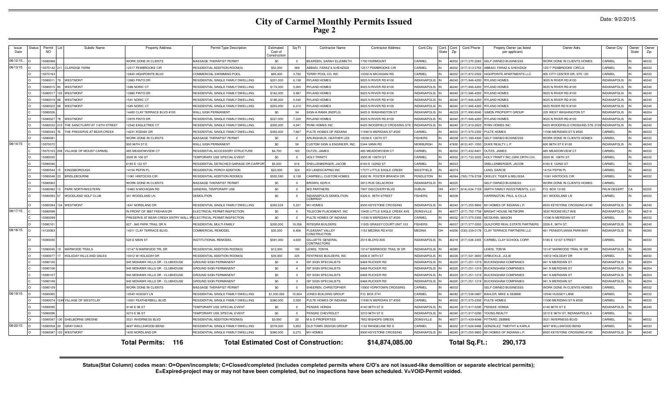|  | Date: 9/2/2015 |
|--|----------------|
|--|----------------|

| Issue<br>Date | status | Permit<br><b>NO</b> | Subdiv Name                      | <b>Property Address</b>                                           | Permit Type Description                      | Estimated<br>Cost of<br>Constructio | Sq Ft          | <b>Contractor Name</b>                         | <b>Contractor Address</b>   | Cont. City          | State | Cont. Cont.<br>Zip | Cont.Phone           | Propety Owner (as listed<br>per applicant)          | Owner Adrs                      | Owner City          | .<br>Owner<br>State | Owner<br>Zip |
|---------------|--------|---------------------|----------------------------------|-------------------------------------------------------------------|----------------------------------------------|-------------------------------------|----------------|------------------------------------------------|-----------------------------|---------------------|-------|--------------------|----------------------|-----------------------------------------------------|---------------------------------|---------------------|---------------------|--------------|
| 08/12/15.     |        | 5080068             |                                  | WORK DONE IN CLIENTS                                              | MASSAGE THERAPIST PERMIT                     | \$0                                 | $\Omega$       | BEARDEN, SARAH ELIZABETH                       | 1790 FAIRMOUNT              | CARMEL              |       |                    | 46032 (317) 270-2260 | <b>SELF OWNED BUSINESSS</b>                         | VORK DONE IN CLIENTS HOMES      | CARMEL              |                     | 46032        |
| 08/13/15      |        | 5070142             | 211 CLARIDGE FARM                | 2517 PEMBROOKE CIR                                                | RESIDENTIAL ADDITION-ROOM(S)                 | \$52,000                            | 389            | ABBASI, FARAZ & SHEHZADI                       | 12517 PEMBROOKE CIR         | CARMEL              |       |                    | 46032 (317) 513-2763 | ABBASI, FARAZ & SHEHZADI                            | 12517 PEMBROOKE CIRCLE          | CARMEL              |                     | 46032        |
|               |        | 507016              |                                  | 2845 HIGHPOINTE BLVD                                              | COMMERCIAL SWIMMING POOL                     | \$85,000                            | 3,792          | <b>TERRY POOL CO, INC</b>                      | 10350 N MICHIGAN RD         | CARMEL              |       | 46032              | (317) 872-2502       | HIGHPOINTE APARTMENTS LLC                           | 805 CITY CENTER DR, STE 120     | CARMEL              |                     | 46032        |
|               |        | 15080011            | 79 WESTMONT                      | 3983 PINTO DR                                                     | RESIDENTIAL SINGLE FAMILY DWELLING           | \$201,000                           | 6.138          | <b>YLAND HOMES</b>                             | 9025 N RIVER RD #100        | <b>INDIANAPOLIS</b> |       | 46240              | 317) 846-4200        | <b>RYLAND HOMES</b>                                 | 9025 N RIVER RD #100            | <b>INDIANAPOLIS</b> |                     | 46240        |
|               |        | 5080015             | WESTMONT                         | 586 NORIC CT                                                      | RESIDENTIAL SINGLE FAMILY DWELLING           | \$174,000                           | 5.265          | <b>RYLAND HOMES</b>                            | 9025 N RIVER RD #100        | <b>INDIANAPOLIS</b> |       |                    |                      | 46240 (317) 846-4200 RYLAND HOMES                   | 9025 N RIVER RD #100            | INDIANAPOLIS        |                     | 46240        |
|               |        | 15080017            | 105 WESTMONT                     | 3980 PINTO DR                                                     | RESIDENTIAL SINGLE FAMILY DWELLING           | \$162,000                           | 5.987          | RYLAND HOMES                                   | 9025 N RIVER RD #100        | <b>INDIANAPOLIS</b> |       |                    | 46240 (317) 846-4200 | <b>RYLAND HOMES</b>                                 | 9025 N RIVER RD #100            | <b>INDIANAPOLIS</b> |                     | 46240        |
|               |        | 15080019            | WESTMONT                         | 591 NORIC CT                                                      | RESIDENTIAL SINGLE FAMILY DWELLING           | \$186,000                           | 5,540          | RYLAND HOMES                                   | 9025 N RIVER RD #100        | INDIANAPOLIS        |       |                    | 46240 (317) 846-4200 | <b>RYLAND HOMES</b>                                 | 9025 N RIVER RD #100            | <b>INDIANAPOLIS</b> |                     | 46240        |
|               |        | 5080022             | <b>WESTMONT</b>                  | 585 NORIC CT                                                      | RESIDENTIAL SINGLE FAMILY DWELLING           | \$203,000                           | 6.310          | <b>RYLAND HOMES</b>                            | 9025 N RIVER RD #100        | <b>INDIANAPOLIS</b> |       |                    | 46240 (317) 846-4200 | <b>RYLAND HOMES</b>                                 | 9025 RIVER RD N #100            | <b>INDIANAPOLIS</b> |                     | 46240        |
|               |        | 5080026             |                                  | 4400 CLAY TERRACE BLVD #100                                       | WALL SIGN PERMANENT                          | \$0                                 | 34             | SIGN-A-RAMA (INDPLS)                           | 9425 E WASHINGTON ST        | INDIANAPOLIS        |       |                    | 46229 (317) 890-8545 | SIMON PROPERTY GROUP                                | 225 WEST WASHINGTON ST          | INDIANAPOLIS        |                     | 46204        |
|               |        | 5080027             | WESTMONT                         | 3979 PINTO DR                                                     | RESIDENTIAL SINGLE FAMILY DWELLING           | \$227,000                           | 7,220          | RYLAND HOMES                                   | 9025 N RIVER RD #100        | <b>INDIANAPOLIS</b> |       |                    |                      | 46240 (317) 846-4200 RYLAND HOMES                   | 9025 N RIVER RD #100            | <b>INDIANAPOLIS</b> |                     | 46240        |
|               |        | 508003              | 10 THE SANCTUARY AT 116TH STREET | 2042 EAGLETREE CT                                                 | RESIDENTIAL SINGLE FAMILY DWELLING           | \$300,000                           | 4.941          | RYAN HOMES INC                                 | 8425 WOODFIELD CROSSING ST  | <b>INDIANAPOLIS</b> |       |                    | 46240 (317) 819-2623 | <b>RYAN HOMES INC</b>                               | 8425 WOODFIELD CROSSING STE 310 | <b>INDIANAPOLIS</b> |                     | 46240        |
|               |        | 5080043             | THE PRESERVE AT BEAR CREEK       | 4231 KODIAK DR                                                    | RESIDENTIAL SINGLE FAMILY DWELLING           | \$493,000                           | 7,667          | ULTE HOMES OF INDIANA                          | 1590 N MERIDIAN ST #530     | CARMEL              |       |                    | 46032 (317) 575-2350 | PULTE HOMES                                         | 1590 MERIDIAN STN #530          | CARMEL              |                     | 46032        |
|               |        | 5080081             |                                  | WORK DONE IN CLIENTS                                              | MASSAGE THERAPIST PERMI                      | \$0                                 | $\Omega$       | ARI INGHAUS, HEATHER LEE                       | 0038 E 126TH ST             | <b>FISHERS</b>      |       |                    | 46038 (317) 399-4930 | SELF OWNED BUSINESSS                                | VORK DONE IN CLIENTS HOMES      | CARMEL              |                     | 46032        |
| 08/14/15      |        | 5070072             |                                  | 900 96TH ST E                                                     | WALL SIGN PERMANENT                          | \$0                                 | 58             | CUSTOM SIGN & ENGINEER, INC.                   | 5344 VANN RD                | NEWBURGH            |       |                    | 47630 (812) 401-1550 | DUKE REALTY, L.P                                    | 600 96TH ST E #100              | <b>INDIANAPOLIS</b> |                     | 46240        |
|               |        | 15070103            | 298 VILLAGE OF MOUNT CARMEL      | <b>485 MEADOWVIEW CT</b>                                          | RESIDENTIAL ACCESSORY STRUCTURE              | \$4,700                             | 160            | OUTZS, JAMES                                   | 485 MEADOWVIEW CT           | CARMEL              |       |                    |                      | 46032 (317) 432-8401 OUTZS, JAMES                   | 485 MEADOWVIEW CT               | CARMEL              |                     | 46032        |
|               |        | 15080035            |                                  | 3500 W 106 ST                                                     | TEMPORARY USE SPECIAL EVENT                  | \$0                                 | $\Omega$       | <b>HOLY TRINITY</b>                            | 3500 W 106TH ST             | CARMEL              |       |                    |                      | 46032 (317) 733-3033 HOLY TRINITY INC.(GRK.ORTH.CH) | 3500 W. 106TH ST.               | CARMEL              |                     | 46032        |
|               |        | 15080040            |                                  | 3165 E 122 ST                                                     | RESIDENTIAL DETACHED GARAGE OR CARPOR        | \$5,500                             | 616            | SNELLENBERGER, JACOB                           | 6165 E 122ND ST             | CARMEL              |       | 46033              |                      | SNELLENBERGER, JACOB                                | 6165 E 122ND ST                 | CARMEL              |                     | 46033        |
|               |        | 15080044            | <b>KINGSBOROUGH</b>              | 4154 PEPIN PL                                                     | RESIDENTIAL PORCH ADDITION                   | \$22,000                            | 324            | <b>KD LANDSCAPING INC</b>                      | 17377 LITTLE EAGLE CREEK    | WESTFIELD           |       | 46074              |                      | LANG, DARCIE                                        | 14154 PEPIN PL                  | CARMEL              |                     | 46032        |
|               |        | 15080048            | <b>BRIDLEBOURNE</b>              | 1061 HINTOCKS CIR                                                 | RESIDENTIAL ADDITION-ROOM(S                  | \$502,590                           | 9,138          | CAMPBELL CUSTOM HOMES                          | 6302 W. FOSTER BRANCH DR    | PENDLETON           |       | 46064              | 765) 778-2738        | OKELEY, TIGER & MELISSA                             | 1061 HINTOCKS CIF               | CARMEL              |                     | 46032        |
|               |        | 5080063             |                                  | <b><i>NORK DONE IN CLIENTS</i></b>                                | MASSAGE THERAPIST PERMIT                     | \$0                                 | $\Omega$       | BROWN, KERI K                                  | 3813 RUE DELACROIX          | <b>INDIANAPOLIS</b> |       | 46220              |                      | SELF OWNED BUSINESS                                 | VORK DONE IN CLIENTS HOMES      | CARMEL              |                     |              |
|               |        | 5080082             | <b>PARK NORTHWESTERN</b>         | 0460 N MICHIGAN RD                                                | <b>GENERAL TEMPORARY USE</b>                 | \$0                                 | $\Omega$       | <b>WD PARTNERS</b>                             | 7007 DISCOVERY BLVD         | <b>DI IRI IN</b>    |       |                    |                      | 43017 (614) 634-7159 SMITH FAMILY INVESTMENTS, LLC  | .O. BOX 13185                   | PALM DESERT         |                     | 92255        |
|               |        | 15080083 57         | WOODLAND GOLF CLUB               | 301 WOODLAND LN                                                   | <b>DEMOLITION</b>                            | \$0                                 | $\overline{0}$ | INDIANAPOLIS DEMOLITION<br>COMPANY             | 6326 E. 96TH STREET         | <b>FISHERS</b>      |       | 46038              |                      | HARRINGTON, PAUL & CILLA                            | 301 WOODLAND LN                 | CARMEL              |                     | 46032        |
|               |        | 15080084            | 124 WESTMONT                     | 641 NORDLAND DR                                                   | RESIDENTIAL SINGLE FAMILY DWELLING           | \$393,529                           | 5.321          | M/I HOMES                                      | 3500 KEYSTONE CROSSING      | <b>INDIANAPOLIS</b> |       |                    | 46240 (317) 255-9900 | M/I HOMES OF INDIANA L.P.                           | 500 KEYSTONE CROSSING #190      | <b>INDIANAPOLIS</b> |                     | 46240        |
| 08/17/15      |        | 1508009             |                                  | N FRONT OF 3887 FEEHAN DR                                         | ELECTRICAL PERMIT/INSPECTION                 | \$0                                 | $\Omega$       | <b>TELECOM PLACEMENT. INC</b>                  | 5405 LITTLE EAGLE CREEK AVE | ZIONSVILLE          |       | 46077              | (317) 752-7758       | <b>BRIGHT HOUSE NETWORK</b>                         | 3030 ROOSEVELT AVE              | <b>INDIANAPOLIS</b> |                     | 46218        |
|               |        | 15080099            |                                  | PRESERVE AT BEAR CREEK ENTRY WALL IF ELECTRICAL PERMIT/INSPECTION |                                              | \$0                                 | $^{\circ}$     | PULTE HOMES OF INDIANA                         | 1590 N MERIDIAN ST #530     | CARMEL              |       |                    |                      | 46032 (317) 575-2350 MCQUINN, MASON                 | 1590 N MERIDIAN ST              | CARMEL              |                     | 46032        |
|               |        | 15080101            |                                  | 327 - 845 PARK TRAIL DR N                                         | RESIDENTIAL MULTI-FAMILY                     | \$350,000                           | 19,356         | <b>INTEGRA BUILDERS</b>                        | 1505 GRASSY COURT UNIT 103  | <b>ISHERS</b>       |       |                    |                      | 46037 (317) 577-0300 GUILFORD REAL ESTATE PARTNERS  | 2206 E. 96TH ST.                | <b>INDIANAPOLIS</b> |                     | 46240        |
| 08/18/15      |        | 14120063            |                                  | 4311 CLAY TERRACE BLVD.                                           | COMMERCIAL REMODEL                           | \$35,000                            | 6,406          | PLEASANT VALLEY<br>CONSTRUCTION                | 153 MEDINA RD #100          | <b>MEDINA</b>       | OH    | 44256              |                      | (330) 239-0176 CLAY TERRACE PARTNERS LLC            | 401 PENNSYLVANIA PARKWAY        | <b>INDIANAPOLIS</b> |                     | 46280        |
|               |        | 15080030            |                                  | 520 E MAIN ST                                                     | INSTITUTIONAL REMODEL                        | \$591,000                           | 4,600          | <b>GILLIATTE GENERAL</b><br><b>CONTRACTORS</b> | 2515 BLOYD AVE              | <b>INDIANAPOLIS</b> |       |                    |                      | 46218 (317) 638-3355 CARMEL CLAY SCHOOL CORP        | 185 E 131ST STREET              | CARMEL              |                     | 46033        |
|               |        | 15080045 19         | MARWOOD TRAILS                   | 0147 N MARWOOD TRL DR                                             | RESIDENTIAL ADDITION-ROOM(S)                 | \$12,000                            | 190            | EWIS, TONYA                                    | 10147 MARWOOD TRAIL W DR    | <b>INDIANAPOLIS</b> |       | 46280              |                      | LEWIS, TONYA                                        | 10147 MARWOOD TRAIL W DR        | <b>INDIANAPOLIS</b> |                     | 46280        |
|               |        | 15080077            | HOLADAY HILLS AND DALES          | 10012 W HOLADAY DR                                                | RESIDENTIAL ADDITION-ROOM(S)                 | \$35,000                            | 225            | FENTRESS BUILDERS. INC                         | 6006 E 38TH ST              | INDIANAPOLIS        |       |                    |                      | 46226 (317) 541-3600 ARBUCKLE, JULIE                | 10012 HOLODAY DF                | CARMEL              |                     | 46032        |
|               |        | 15080105            |                                  | 945 MOHAWK HILLS DR - CLUBHOUSE                                   | GROUND SIGN PERMANENT                        | \$0                                 | $\overline{4}$ | <b>ISF SIGN SPECIALISTS</b>                    | 6468 RUCKER RD              | <b>INDIANAPOLIS</b> |       |                    | 46220 (317) 251-1219 | <b>BUCKINGHAM COMPANIES</b>                         | 941 N MERIDIAN ST               | <b>INDIANAPOLIS</b> |                     | 46204        |
|               |        | 1508010             |                                  | 945 MOHAWK HILLS DR - CLUBHOUSI                                   | <b>GROUND SIGN PERMANENT</b>                 | \$0                                 | $\overline{4}$ | <b>ISF SIGN SPECIALISTS</b>                    | 6468 RUCKER RD              | <b>INDIANAPOLIS</b> |       | 46220              | 317) 251-121         | <b>BUCKINGHAM COMPANIES</b>                         | 941 N MERIDIAN ST               | <b>INDIANAPOLIS</b> |                     | 46204        |
|               |        | 1508010             |                                  | 45 MOHAWK HILLS DR - CLUBHOUSE                                    | <b>GROUND SIGN PERMANENT</b>                 | \$0                                 | $\mathbf{3}$   | <b>ISF SIGN SPECIALISTS</b>                    | 6468 RUCKER RD              | <b>INDIANAPOLIS</b> |       | 46220              | 317) 251-1219        | <b>BUCKINGHAM COMPANIES</b>                         | 41 N MERIDIAN ST                | <b>INDIANAPOLIS</b> |                     | 46204        |
|               |        | 15080108            |                                  | 945 MOHAWK HILLS DR - CLUBHOUSE                                   | <b>GROUND SIGN PERMANENT</b>                 | \$0                                 | $\mathbf{3}$   | <b>ISF SIGN SPECIALISTS</b>                    | 6468 RUCKER RD              | <b>INDIANAPOLIS</b> |       | 46220              | 317) 251-121         | <b>BUCKINGHAM COMPANIES</b>                         | 941 N MERIDIAN ST               | <b>INDIANAPOLIS</b> |                     | 46204        |
|               |        | 15080109            |                                  | WORK DONE IN CLIENTS                                              | MASSAGE THERAPIST PERMIT                     | \$0                                 | $^{\circ}$     | SHEEREN, CHRISTOPHER                           | 0900 YORKTOWN CROSSING      | CARMEL              |       | 46032              |                      | SELF OWNED BUSINESSS                                | WORK DONE IN CLIENTS HOMES      | CARMEL              |                     | 46032        |
| 08/19/15      |        | 15080065            |                                  | 0540 HUSSEY LN                                                    | RESIDENTIAL SINGLE FAMILY DWELLING           | \$1,000,000                         | 10.604         | JONES BUILDING GROUP                           | P.O. BOX 3741               | CARMEL              |       |                    | 46082 (317) 538-0887 | BAHLER, MIKE & DEBBIE                               | 0540 HUSSEY LANE                | CARMEL              |                     | 46032        |
|               |        | 15080074            | 1248 VILLAGE OF WESTCLAY         | 13001 FEATHERBELL BLVD                                            | RESIDENTIAL SINGLE FAMILY DWELLING           | \$380,000                           | 5.500          | PULTE HOMES OF INDIANA                         | 11590 N MERIDIAN ST #530    | CARMEL              |       |                    | 46032 (317) 575-2350 | <b>PULTE HOMES</b>                                  | 1590 MERIDIAN ST N #530         | CARMEL              |                     | 46032        |
|               |        | 5080095             |                                  | 4140 E 96 ST                                                      | TEMPORARY USE SPECIAL EVENT                  | \$0                                 | $\Omega$       | PENSKE HONDA                                   | 4140 96TH ST E              | <b>INDIANAPOLIS</b> |       |                    | 46240 (317) 817-0290 | PENSKE HONDA                                        | 140 96TH ST E                   | <b>INDIANAPOLIS</b> |                     | 46240        |
|               |        | 508009              |                                  | 3210 E 96 ST                                                      | TEMPORARY USE SPECIAL EVENT                  | \$0                                 | $\Omega$       | PENSKE CHEVROLET                               | 3210 96TH ST E              | <b>INDIANAPOLIS</b> |       |                    | 46240 (317) 817-0290 | YOUNG REALTY                                        | 3210 E 96TH ST, INDIANAPOLIS 4  | CARMEL              |                     |              |
|               |        | 15080097            | 130 SHELBORNE GREENE             | 521 INVERNESS BLVD                                                | RESIDENTIAL ADDITION-ROOM(S)                 | \$3,000                             | 20             | <b>M &amp; D PROPERTIES</b>                    | 7652 BISHOPS GREEN          | ZIONSVILLE          |       | 46077              | (317) 439-8048       | PITTARD, DEBBIE                                     | 3521 INVERNESS BLVD             | CARMEL              |                     | 46032        |
| 08/20/15      |        | 5080058<br>29       | <b>GRAY OAKS</b>                 | <b>4697 WELLSWOOD BEND</b>                                        | RESIDENTIAL SINGLE FAMILY DWELLING           | \$578,000                           | 5.852          | <b>OLD TOWN DESIGN GROUP</b>                   | 132 RANGELINE RD S          | CARMEL              |       | 46032              | 317) 626-8486        | GONZALEZ, TIMOTHY & KARLA                           | 697 WELLSWOOD BEND              | CARMEL              |                     | 46033        |
|               |        | 5080087             | 123 WESTMONT                     | 635 NORDLAND DR                                                   | RESIDENTIAL SINGLE FAMILY DWELLING           | \$380,000                           | 6,272          | M/I HOMES                                      | 8500 KEYSTONE CROSSING      | INDIANAPOLIS IN     |       |                    |                      | 46240 (317) 255-9900 M/I HOMES OF INDIANA L.P.      | 500 KEYSTONE CROSSING #190      | <b>INDIANAPOLIS</b> |                     | 46240        |
|               |        |                     |                                  | 116<br>Total Permits:                                             | <b>Total Estimated Cost of Construction:</b> |                                     |                |                                                | \$14,874,085.00             |                     |       |                    | Total Sq.Ft.:        | 290,173                                             |                                 |                     |                     |              |

Status(Stat Column) codes mean: O=Open/incomplete; C=Closed/completed (includes completed permits where C/O's are not issued-like demolition or separate electrical permits);<br>E=Expired-project may or may not have been compl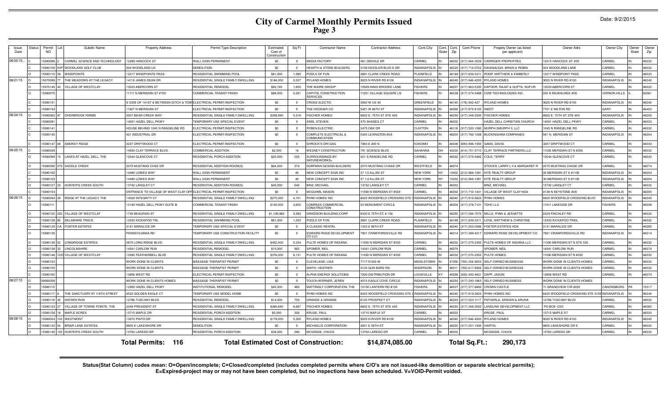|  | Date: 9/2/2015 |
|--|----------------|
|--|----------------|

| Issue<br>Date | <b>Status</b>                                                                                                               | Permit<br>NO     | Subdiv Name                        | <b>Property Address</b>                                           | Permit Type Description             | Estimated<br>Cost of<br>Constructio | Sq Ft          | <b>Contractor Name</b>                        | <b>Contractor Address</b>   | Cont.City<br>Cont.<br>State | Cont.<br>Zip | Cont.Phone           | Propety Owner (as listed<br>per applicant) | Owner Adrs                               | Owner City          | Owner<br>State | Owner<br>Zip |
|---------------|-----------------------------------------------------------------------------------------------------------------------------|------------------|------------------------------------|-------------------------------------------------------------------|-------------------------------------|-------------------------------------|----------------|-----------------------------------------------|-----------------------------|-----------------------------|--------------|----------------------|--------------------------------------------|------------------------------------------|---------------------|----------------|--------------|
| 08/20/15      |                                                                                                                             | 15080088         | CARMEL SCIENCE AND TECHNOLOGY      | 2289 HANCOCK ST                                                   | <b>WALL SIGN PERMANENT</b>          | \$0                                 | -9             | <b>JEDIA FACTORY</b>                          | 481 GRADLE DR               | CARMEL                      |              | 46032 (317) 844-3539 | CARRIGER PROPERTIES                        | 12315 HANCOCK ST. #30                    | CARMEL              |                | 46032        |
|               |                                                                                                                             | 15080100         | WOODLAND GOLF CLUB                 | 304 WOODLAND LN                                                   | DEMOLITION                          | \$0                                 | $^{\circ}$     | <b>HEARTH &amp; STONE BUILDERS</b>            | 2108 KESSLER BLVD E DF      | <b>INDIANAPOLIS</b>         |              | 46220 (317) 714-0722 | KAVANAUGH, BRIAN & ROBIN                   | 304 WOODLAND LANE                        | CARMEL              |                | 46032        |
|               |                                                                                                                             | 5080119          | <b>INDPOINTE</b>                   | 2217 WINDPOINTE PASS                                              | RESIDENTIAL SWIMMING POOL           | \$61,000                            | 1,990          | OOLS OF FUN                                   | 891 CLARK CREEK ROAD        | PLAINFIELD                  |              | 46168 (317) 839-331  | ROOP, MATTHEW & KIMBERLY                   | 12217 WINDPOINT PASS                     | CARMEL              |                | 46033        |
| 08/21/15      |                                                                                                                             | 5070099          | HE MEADOWS AT THE LEGACY           | 4119 JAMES DEAN DR                                                | RESIDENTIAL SINGLE FAMILY DWELLING  | \$184,000                           | 5.557          | YLAND HOMES                                   | 025 N RIVER RD #100         | <b>NDIANAPOLIS</b>          |              | 46240 (317) 846-4200 | <b>RYLAND HOMES</b>                        | 9025 N RIVER RD #100                     | <b>NDIANAPOLIS</b>  |                | 46240        |
|               |                                                                                                                             | 5070145          | <b>ILLAGE OF WESTCLAY</b>          | 3533 ABERCORN ST                                                  | RESIDENTIAL REMODE                  | \$82,745                            | 1.850          | HE WAIRE GROUP                                | 0929 INNIS BROOKE LANE      | <b>ISHERS</b>               |              | 46037 (317) 863-5335 | KAPOOR, RAJAT & GUPTA, NUPUR               | 13533 ABERCORN ST                        | <b>ARMEL</b>        |                | 46032        |
|               |                                                                                                                             | 15080075         |                                    | 1711 N MERIDIAN ST #750                                           | COMMERCIAL TENANT FINISH            | \$88,000                            | 5,281          | APITOL CONSTRUCTION<br><b>FRVICES</b>         | 11051 VILLAGE SQUARE LN     | <b>FISHERS</b>              |              | 46038 (317) 574-5488 | <b>CDW TECHNOLOGIES INC.</b>               | 200 N MILWAUKEE AVE                      | <b>VERNON HILLS</b> |                | 60061        |
|               |                                                                                                                             | 1508013          |                                    | SIDE OF 141ST & BETWEEN DITCH & TOW ELECTRICAL PERMIT/INSPECTION  |                                     | \$0                                 | $\Omega$       | ROSS ELECTIC                                  | 3583 W US 40                | <b>GREENFIELD</b>           |              | 46140 (178) 942-427  | <b>RYLAND HOMES</b>                        | 9025 N RIVER RD #100                     | <b>INDIANAPOLIS</b> |                | 46240        |
|               |                                                                                                                             | 508013           |                                    | 1927 N MERIDIAN ST                                                | <b>ELECTRICAL PERMIT/INSPECTION</b> | \$0                                 | $\Omega$       | HE HOOSIER CO                                 | 5421 W 86TH ST              | <b>NDIANAPOLIS</b>          |              | 46268 (317) 872-8125 | <b>INDOT</b>                               | 7701 E MILTON RD                         | <b>ARY</b>          |                | 46403        |
| 08/24/15      |                                                                                                                             | 5080062          | <b>OVERBROOK FARMS</b>             | 937 BEAR CREEK WAY                                                | RESIDENTIAL SINGLE FAMILY DWELLING  | \$308,990                           | 5,318          | <b>ISCHER HOMES</b>                           | 6602 E. 75TH ST STE 400     | <b>INDIANAPOLIS</b>         |              | 46250 (317) 348-2500 | <b>FISCHER HOMES</b>                       | 602 E. 75TH ST STE 400                   | NDIANAPOLIS         |                | 46250        |
|               |                                                                                                                             | 1508009          |                                    | 4501 HAZEL DELL PKWY                                              | TEMPORARY USE SPECIAL EVENT         | \$0                                 | $\overline{0}$ | SIMS, STEVEN                                  | 370 SHADES CT               | CARMEL                      | 46032        |                      | HAZEL DELL CHRISTIAN CHURCH                | 14501 HAZEL DELL PKWY                    | CARMEL              |                | 46033        |
|               |                                                                                                                             | 1508014          |                                    | HOUSE BEHIND 1045 N RANGELINE RD                                  | ELECTRICAL PERMIT/INSPECTION        | \$0                                 | $\Omega$       | YBEN ELECTRIC                                 | 2475 OAK DR                 | CLAYTON<br>IN               |              | 46118 (317) 520-1080 | MURPH SMURPH II. LLC                       | 1045 N RANGELINE RD                      | CARMEL              |                | 46032        |
|               |                                                                                                                             | 15080145         |                                    | <b>421 INDUSTRIAL DF</b>                                          | ELECTRICAL PERMIT/INSPECTION        | \$0                                 | $\Omega$       | COMPLETE ELECTRICAL &<br><b>COMMUNICATION</b> | 5345 LEXINGTON AVE          | <b>INDIANAPOLIS</b>         |              | 46203 (317) 782-1008 | <b>BUCKINGHAM COMPANIES</b>                | 941 N. MERIDIAN ST                       | <b>NDIANAPOLIS</b>  |                | 46204        |
|               |                                                                                                                             | 5080147          | SMOKEY RIDGE                       | 3207 DRIFTWOOD CT                                                 | <b>ELECTRICAL PERMIT/INSPECTION</b> | \$0                                 | $\Omega$       | <b>HROCK'S DRI GAS</b>                        | 7983 E 400 N                | <b>KOKOMO</b>               |              | 46936 (800) 896-1050 | SAMS, DAVID                                | 3207 DRIFTWOOD CT                        | CARMEL              |                | 46033        |
| 08/25/15      |                                                                                                                             | 5080039          |                                    | 4550 CLAY TERRACE BLVD                                            | COMMERCIAL ADDITION                 | \$2,500                             | 16             | <b>VESNEY CONSTRUCTION</b>                    | 91 SCIENCE BLVD             | GAHANNA                     |              | 43230 (614) 751-5710 | <b>CLAY TERRACE PARTNERS LLC</b>           | <b>1595 MERIDIAN ST N #250</b>           | CARME               |                | 46032        |
|               |                                                                                                                             | 15080089         | LAKES AT HAZEL DELL, THE           | 2544 GLENCOVE CT                                                  | RESIDENTIAL PORCH ADDITION          | \$25,000                            | 225            | URROUNDINGS BY<br><b>IATUREWORKS+</b>         | 421 S RANGELINE RD          | CARMEL                      |              | 46032 (317) 575-0482 | COLE, TERRY                                | 12544 GLENCOVE CT                        | CARMEL              |                | 46033        |
|               |                                                                                                                             | 15080090         | SADDLE CREEK                       | 2070 MUSTANG CHSE DR                                              | RESIDENTIAL ADDITION-ROOM(S         | \$64,000                            | 374            | ORFMAN DESIGN BUILDERS                        | 2070 MUSTANG CHASE DF       | WESTFIELD                   | 46074        |                      | STOVER, LARRY L II & MARGARET R            | 2070 MUSTANG CHASE DF                    | CARMEL              |                | 46074        |
|               |                                                                                                                             | 1508010          |                                    | 4490 LOWES WAY                                                    | <b>WALL SIGN PERMANENT</b>          | \$0                                 | 45             | <b>VEW CONCEPT SIGN INC</b>                   | 7 1/2 ALLEN ST              | <b>NEW YORK</b>             |              | 10002 (212) 966-1081 | <b>KITE REALTY GROUP</b>                   | 0 MERIDIAN STS #1100                     | NDIANAPOLIS         |                | 46204        |
|               |                                                                                                                             | 5080103          |                                    | 4490 LOWES WAY                                                    | WALL SIGN PERMANENT                 | \$0                                 | 40             | NEW CONCEPT SIGN INC                          | 37 1/2 ALLEN ST             | <b>NEW YORK</b>             |              | 10002 (212) 966-1081 | <b>KITE REALTY GROUP</b>                   | 30 MERIDIAN STS #1100                    | <b>NDIANAPOLIS</b>  |                | 46204        |
|               |                                                                                                                             | 15080127         | HUNTER'S CREEK SOUTH               | 3742   ANGLEY CT                                                  | RESIDENTIAL ADDITION-ROOM(S         | \$40,000                            | 640            | <b>BINZ, MICHAEL</b>                          | 13742 LANGLEY CT            | CARMEL                      | 16032        |                      | <b>BINZ, MICHAEL</b>                       | 13742 LANGLEY CT                         | CARMEL              |                | 46032        |
|               |                                                                                                                             | 15080154         |                                    | NTRANCE TO VILLAGE OF WEST CLAY OFF ELECTRICAL PERMIT/INSPECTION: |                                     | \$0                                 | $\Omega$       | <b><i>ICQUINN, MASON</i></b>                  | 1590 N MERIDIAN ST #530     | CARMEL                      |              | 46032 (317) 710-1441 | VILLAGE OF WEST CLAY HOA                   | 4138 N KEYSTONE AVE                      | <b>INDIANAPOLIS</b> |                | 46205        |
| 08/26/15      |                                                                                                                             | 15080094         | RIDGE AT THE LEGACY. THE           | 4529 INTEGRITY CT                                                 | RESIDENTIAL SINGLE FAMILY DWELLING  | \$275,000                           | 4.151          | YAN HOMES INC                                 | 8425 WOODFIELD CROSSING STE | <b>INDIANAPOLIS</b>         |              | 46240 (317) 819-2623 | <b>RYAN HOMES</b>                          | 8425 WOODFIELD CROSSING BLVD             | <b>NDIANAPOLIS</b>  |                | 46240        |
|               |                                                                                                                             | 1508011          |                                    | 13190 HAZEL DELL PKWY SUITE B                                     | COMMERCIAL TENANT FINISH            | \$100,000                           | 3,600          | OMPASS COMMERCIAL<br><b>ONSTRUCTION</b>       | 55 MONUMENT CIRCLE          | NDIANAPOLIS                 |              | 46204 (317) 378-7121 | TDHC LLC                                   | 11911 LAKESIDE DR                        | <b>ISHERS</b>       |                | 46038        |
|               |                                                                                                                             | 15080125<br>225. | VILLAGE OF WESTCLAY                | 740 BEAUFAIN ST                                                   | RESIDENTIAL SINGLE FAMILY DWELLING  | \$1,199,963                         | 9,383          | <b>RADISON BUILDING CORP</b>                  | 6330 E 75TH ST, #156        | <b>INDIANAPOLIS</b>         |              | 46250 (317) 594-7575 | MILLS, RYAN & JEANETTE                     | 2329 FINCHLEY RD                         | CARMEL              |                | 46032        |
|               |                                                                                                                             | 15080128         | DELAWARE TRACE                     | 3333 KICKAPOO TRL                                                 | RESIDENTIAL SWIMMING POOL           | \$61,000                            | 1,253          | POOLS OF FUN                                  | 3891 CLARK CREEK ROAD       | PLAINFIELD                  |              | 46168 (317) 839-3311 | LOVE, MATTHEW & CHRISTINE                  | 13333 KICKAPOO TRAIL                     | CARMEL              |                | 46032        |
|               |                                                                                                                             | 15080129         | CA FOSTER ESTATES                  | 3131 MARALICE DR                                                  | TEMPORARY USE SPECIAL EVENT         | \$0                                 | $\Omega$       | <b>CLASSIC RENTAL</b>                         | 1333 E 86TH ST              | <b>INDIANAPOLIS</b>         |              | 46240 (317) 253-0586 | <b>FOSTER ESTATES HOA</b>                  | 3131 MARALICE DR                         | CARMEL              |                | 46280        |
|               |                                                                                                                             | 15080135         |                                    | PENNSYLVANIA RD                                                   | TEMPORARY USE CONSTRUCTION FACILITY | \$0                                 | $\overline{0}$ | DWARD ROSE DEVELOPMENT<br>O I I C             | 7901 CRAWFORDSVILLE RD      | <b>INDIANAPOLIS</b>         |              | 46214 (317) 388-4317 | EDWARD ROSE DEVELOPMENT CO.                | 7901 CRAWFORDSVILLE RD                   | <b>NDIANAPOLIS</b>  |                | 46214        |
|               |                                                                                                                             | 15080138         | LONGRIDGE ESTATES                  | 870 LONG RIDGE BLVD                                               | RESIDENTIAL SINGLE FAMILY DWELLING  | \$452,000                           | 5,334          | ULTE HOMES OF INDIANA                         | 1590 N MERIDIAN ST #530     | CARMEL                      |              | 46032 (317) 575-2350 | PULTE HOMES OF INDIANA LLC                 | 1590 MERIDIAN STN STE 530                | CARMEL              |                | 46032        |
|               |                                                                                                                             | 15080139         | LINCOLNSHIRE                       | 4341 CARLOW RUN                                                   | RESIDENTIAL REMODEL                 | \$10,000                            | 902            | POMER, NEIL                                   | 4341 CARLOW RUN             | CARMEL                      | 46074        |                      | SPOMER, NEIL                               | 14341 CARLOW RUN                         | CARMEL              |                | 46074        |
|               |                                                                                                                             | 1508014          | 250 VILLAGE OF WESTCLAY            | 2992 FEATHERBELL BLVD                                             | RESIDENTIAL SINGLE FAMILY DWELLING  | \$376,000                           | 6.131          | <b>PULTE HOMES OF INDIANA</b>                 | 1590 N MERIDIAN ST #530     | CARMEL<br>IN                |              | 46032 (317) 575-2350 | <b>PULTE HOMES</b>                         | 1590 MERIDIAN ST N #530                  | CARMEL              |                | 46032        |
|               |                                                                                                                             | 15080153         |                                    | <b><i>NORK DONE IN CLIENTS</i></b>                                | MASSAGE THERAPIST PERMIT            | \$0                                 | $\Omega$       | CLEVELAND, LISA                               | 7717 N 500 W                | MIDDLETOWN                  |              | 47356 (765) 354-9203 | <b>SELF OWNED BUSINESSS</b>                | <b><i>NORK DONE IN CLIENTS HOMES</i></b> | CARMEL              |                | 46032        |
|               |                                                                                                                             | 1508015          |                                    | WORK DONE IN CLIENTS                                              | MASSAGE THERAPIST PERMIT            | \$0                                 | $\Omega$       | SMITH, HEATHER                                | 4125 GUN BARD RD            | ANDERSON                    |              | 46011 (765) 617-8926 | SELF OWNED BUSINESSS                       | WORK DONE IN CLIENTS HOMES               | CARMEL              |                | 46032        |
|               |                                                                                                                             | 15080165         |                                    | 3856 WEST RD                                                      | ELECTRICAL PERMIT/INSPECTION        | \$0                                 | $\overline{0}$ | ALPHA ENERGY SOLUTIONS                        | 7200 DISTRIBUTION DF        | LOUISVILLE                  | 40258        | (502) 400-4621       | DAPP, JASON                                | 13856 WEST RD                            | CARMEL              |                | 46074        |
| 08/27/15      |                                                                                                                             | 0906005          |                                    | VORK DONE IN CLIENTS HOMES                                        | MASSAGE THERAPIST PERMIT            | \$0                                 | $\Omega$       | <b>TOUCH-WERNER, JEREN</b>                    | 1015 EAGLE COVE CIRCLE      | <b>INDIANAPOLIS</b>         | 46254        | (317) 293-1863       | <b>SELF OWNED BUSINESS</b>                 | WORK DONE IN CLIENTS HOMES               |                     |                |              |
|               |                                                                                                                             | 508011           |                                    | 2900 HAZEL DELL PKWY                                              | <b>NSTITUTIONAL REMODEI</b>         | \$45,000                            | 480            | <b>IATTINGLY CORPORATION, THE</b>             | 0150 LANTERN RD #100        | <b>ISHERS</b>               |              | 46037 (317) 577-8800 | <b>CROWN CASTLE</b>                        | <b>GRANDVIEW CIR #220</b>                | CANONSBURG          |                | 15317        |
|               |                                                                                                                             | 15080117         | THE SANCTUARY AT 116TH STREET      | 4522 GOLDEN EAGLE CT                                              | TEMPORARY USE MODEL HOME            | \$0                                 | $\Omega$       | YAN HOMES INC                                 | 8425 WOODFIELD CROSSING STE | <b>INDIANAPOLIS</b>         |              | 46240 (317) 819-2623 | <b>RYAN HOMES INC</b>                      | 8425 WOODFIELD CROSSING STE 310          | <b>INDIANAPOLIS</b> |                | 46240        |
|               |                                                                                                                             | 15080118         | HAYDEN RUN                         | 2786 TUSCANY BLVD                                                 | RESIDENTIAI REMODEI                 | \$14,000                            | 750            | GRANDE & GRANDE                               | 6125 PROSPECT ST.           | <b>INDIANAPOLIS</b>         |              | 46203 (317) 523-1117 | PATHARLA, SRAVAN & ARUNA                   | 12786 TUSCANY BLVD                       | CARMEL              |                | 46032        |
|               |                                                                                                                             | 15080123         | <b>ILLAGE OF TOWNE POINTE. THE</b> | 2349 PRESIDENT ST                                                 | RESIDENTIAL SINGLE FAMILY DWELLING  | \$366,685                           | 6.667          | <b>ISCHER HOMES</b>                           | 6602 E. 75TH ST STE 400     | <b>INDIANAPOLIS</b>         |              | 46250 (317) 348-2500 | LANDLINK DEVELOPMENT LLC                   | PO BOX 1250                              | CARMEL              |                | 46082        |
|               |                                                                                                                             | 1508012          | MAPLE ACRES                        | 13715 MAPLE DF                                                    | RESIDENTIAL PORCH ADDITION          | \$5,000                             | 326            | RUSE, PAUL                                    | 13715 MAPLE ST              | CARMEL                      | 46033        |                      | KRUSE, PAUI                                | 13715 MAPLE ST                           | CARMEL              |                | 46033        |
| 08/28/15      |                                                                                                                             | 1508002          | <b>NESTMONT</b>                    | 3972 PINTO DR                                                     | RESIDENTIAL SINGLE FAMILY DWELLING  | \$179,000                           | 5,300          | YLAND HOMES                                   | 9025 N RIVER RD #100        | <b>INDIANAPOLIS</b>         |              | 46240 (317) 846-4200 | <b>RYLAND HOMES</b>                        | 9025 N RIVER RD #100                     | NDIANAPOLIS         |                | 46240        |
|               |                                                                                                                             | 150801           | BRIAR LANE ESTATES                 | <b>9805 E LAKESHORE DR</b>                                        | DEMOLITION                          | \$0                                 | $^{\circ}$     | <b><i>MICHAELIS CORPORATION</i></b>           | 2601 E 56TH ST              | <b>INDIANAPOLIS</b>         |              | 46220 (317) 251-1935 | <b>HARTIG</b>                              | 9805 LAKESHORE DR E                      | CARMEL              |                | 46032        |
|               |                                                                                                                             | 1508014          | HUNTER'S CREEK SOUTH               | 3763 LAREDO DF                                                    | RESIDENTIAL PORCH ADDITION          | \$38,000                            | 380            | MCGINSIE, CHUCK                               | 13763 LAREDO DR             | CARMEL                      | 46032        |                      | MCGINSIE, CHUCK                            | 13763 LAREDO DF                          | CARMEL              |                | 46032        |
|               | Total Sq.Ft.:<br>116<br><b>Total Estimated Cost of Construction:</b><br>\$14,874,085.00<br>290,173<br><b>Total Permits:</b> |                  |                                    |                                                                   |                                     |                                     |                |                                               |                             |                             |              |                      |                                            |                                          |                     |                |              |

Status(Stat Column) codes mean: O=Open/incomplete; C=Closed/completed (includes completed permits where C/O's are not issued-like demolition or separate electrical permits);<br>E=Expired-project may or may not have been compl